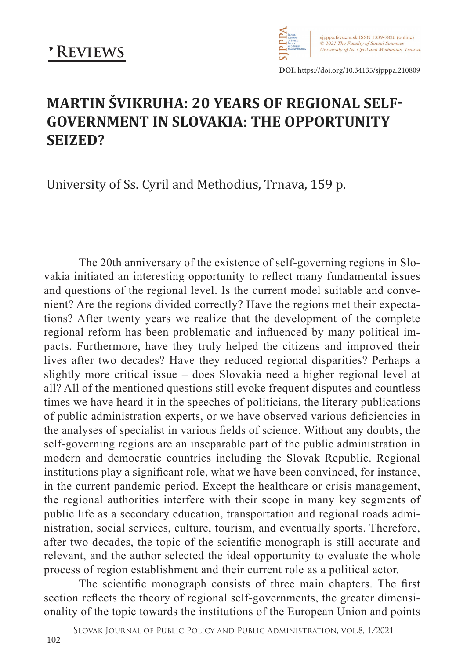

**DOI:** https://doi.org/10.34135/sjpppa.210809

## **MARTIN ŠVIKRUHA: 20 YEARS OF REGIONAL SELF-GOVERNMENT IN SLOVAKIA: THE OPPORTUNITY SEIZED?**

University of Ss. Cyril and Methodius, Trnava, 159 p.

The 20th anniversary of the existence of self-governing regions in Slovakia initiated an interesting opportunity to reflect many fundamental issues and questions of the regional level. Is the current model suitable and convenient? Are the regions divided correctly? Have the regions met their expectations? After twenty years we realize that the development of the complete regional reform has been problematic and influenced by many political impacts. Furthermore, have they truly helped the citizens and improved their lives after two decades? Have they reduced regional disparities? Perhaps a slightly more critical issue – does Slovakia need a higher regional level at all? All of the mentioned questions still evoke frequent disputes and countless times we have heard it in the speeches of politicians, the literary publications of public administration experts, or we have observed various deficiencies in the analyses of specialist in various fields of science. Without any doubts, the self-governing regions are an inseparable part of the public administration in modern and democratic countries including the Slovak Republic. Regional institutions play a significant role, what we have been convinced, for instance, in the current pandemic period. Except the healthcare or crisis management, the regional authorities interfere with their scope in many key segments of public life as a secondary education, transportation and regional roads administration, social services, culture, tourism, and eventually sports. Therefore, after two decades, the topic of the scientific monograph is still accurate and relevant, and the author selected the ideal opportunity to evaluate the whole process of region establishment and their current role as a political actor.

The scientific monograph consists of three main chapters. The first section reflects the theory of regional self-governments, the greater dimensionality of the topic towards the institutions of the European Union and points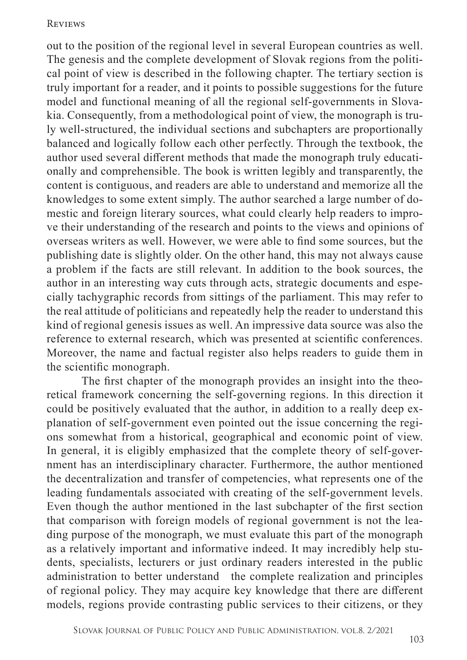## **REVIEWS**

out to the position of the regional level in several European countries as well. The genesis and the complete development of Slovak regions from the political point of view is described in the following chapter. The tertiary section is truly important for a reader, and it points to possible suggestions for the future model and functional meaning of all the regional self-governments in Slovakia. Consequently, from a methodological point of view, the monograph is truly well-structured, the individual sections and subchapters are proportionally balanced and logically follow each other perfectly. Through the textbook, the author used several different methods that made the monograph truly educationally and comprehensible. The book is written legibly and transparently, the content is contiguous, and readers are able to understand and memorize all the knowledges to some extent simply. The author searched a large number of domestic and foreign literary sources, what could clearly help readers to improve their understanding of the research and points to the views and opinions of overseas writers as well. However, we were able to find some sources, but the publishing date is slightly older. On the other hand, this may not always cause a problem if the facts are still relevant. In addition to the book sources, the author in an interesting way cuts through acts, strategic documents and especially tachygraphic records from sittings of the parliament. This may refer to the real attitude of politicians and repeatedly help the reader to understand this kind of regional genesis issues as well. An impressive data source was also the reference to external research, which was presented at scientific conferences. Moreover, the name and factual register also helps readers to guide them in the scientific monograph.

The first chapter of the monograph provides an insight into the theoretical framework concerning the self-governing regions. In this direction it could be positively evaluated that the author, in addition to a really deep explanation of self-government even pointed out the issue concerning the regions somewhat from a historical, geographical and economic point of view. In general, it is eligibly emphasized that the complete theory of self-government has an interdisciplinary character. Furthermore, the author mentioned the decentralization and transfer of competencies, what represents one of the leading fundamentals associated with creating of the self-government levels. Even though the author mentioned in the last subchapter of the first section that comparison with foreign models of regional government is not the leading purpose of the monograph, we must evaluate this part of the monograph as a relatively important and informative indeed. It may incredibly help students, specialists, lecturers or just ordinary readers interested in the public administration to better understand the complete realization and principles of regional policy. They may acquire key knowledge that there are different models, regions provide contrasting public services to their citizens, or they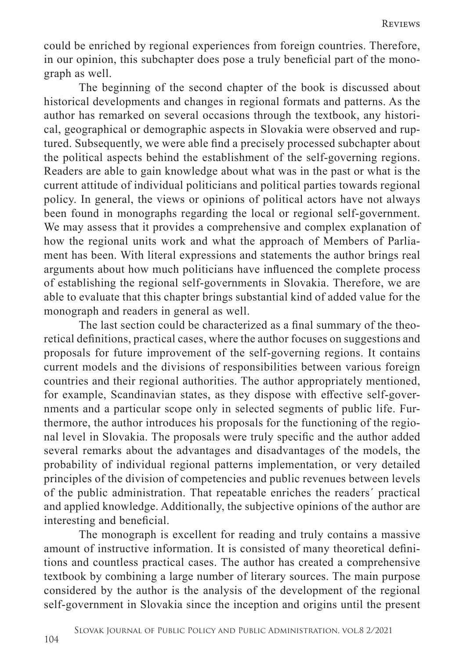could be enriched by regional experiences from foreign countries. Therefore, in our opinion, this subchapter does pose a truly beneficial part of the monograph as well.

The beginning of the second chapter of the book is discussed about historical developments and changes in regional formats and patterns. As the author has remarked on several occasions through the textbook, any historical, geographical or demographic aspects in Slovakia were observed and ruptured. Subsequently, we were able find a precisely processed subchapter about the political aspects behind the establishment of the self-governing regions. Readers are able to gain knowledge about what was in the past or what is the current attitude of individual politicians and political parties towards regional policy. In general, the views or opinions of political actors have not always been found in monographs regarding the local or regional self-government. We may assess that it provides a comprehensive and complex explanation of how the regional units work and what the approach of Members of Parliament has been. With literal expressions and statements the author brings real arguments about how much politicians have influenced the complete process of establishing the regional self-governments in Slovakia. Therefore, we are able to evaluate that this chapter brings substantial kind of added value for the monograph and readers in general as well.

The last section could be characterized as a final summary of the theoretical definitions, practical cases, where the author focuses on suggestions and proposals for future improvement of the self-governing regions. It contains current models and the divisions of responsibilities between various foreign countries and their regional authorities. The author appropriately mentioned, for example, Scandinavian states, as they dispose with effective self-governments and a particular scope only in selected segments of public life. Furthermore, the author introduces his proposals for the functioning of the regional level in Slovakia. The proposals were truly specific and the author added several remarks about the advantages and disadvantages of the models, the probability of individual regional patterns implementation, or very detailed principles of the division of competencies and public revenues between levels of the public administration. That repeatable enriches the readers´ practical and applied knowledge. Additionally, the subjective opinions of the author are interesting and beneficial.

The monograph is excellent for reading and truly contains a massive amount of instructive information. It is consisted of many theoretical definitions and countless practical cases. The author has created a comprehensive textbook by combining a large number of literary sources. The main purpose considered by the author is the analysis of the development of the regional self-government in Slovakia since the inception and origins until the present